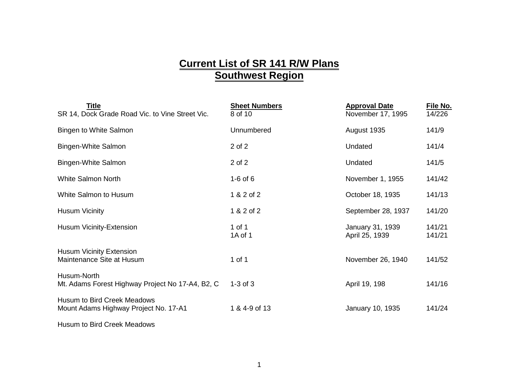## **Current List of SR 141 R/W Plans Southwest Region**

| Title<br>SR 14, Dock Grade Road Vic. to Vine Street Vic.                    | <b>Sheet Numbers</b><br>8 of 10 | <b>Approval Date</b><br>November 17, 1995 | File No.<br>14/226 |
|-----------------------------------------------------------------------------|---------------------------------|-------------------------------------------|--------------------|
| Bingen to White Salmon                                                      | Unnumbered                      | August 1935                               | 141/9              |
| Bingen-White Salmon                                                         | 2 of 2                          | Undated                                   | 141/4              |
| Bingen-White Salmon                                                         | 2 of 2                          | Undated                                   | 141/5              |
| <b>White Salmon North</b>                                                   | $1-6$ of $6$                    | November 1, 1955                          | 141/42             |
| White Salmon to Husum                                                       | 1 & 2 of 2                      | October 18, 1935                          | 141/13             |
| <b>Husum Vicinity</b>                                                       | 1 & 2 of 2                      | September 28, 1937                        | 141/20             |
| Husum Vicinity-Extension                                                    | 1 of 1<br>1A of 1               | January 31, 1939<br>April 25, 1939        | 141/21<br>141/21   |
| <b>Husum Vicinity Extension</b><br>Maintenance Site at Husum                | 1 of 1                          | November 26, 1940                         | 141/52             |
| Husum-North<br>Mt. Adams Forest Highway Project No 17-A4, B2, C             | $1-3$ of $3$                    | April 19, 198                             | 141/16             |
| <b>Husum to Bird Creek Meadows</b><br>Mount Adams Highway Project No. 17-A1 | 1 & 4-9 of 13                   | January 10, 1935                          | 141/24             |
|                                                                             |                                 |                                           |                    |

Husum to Bird Creek Meadows